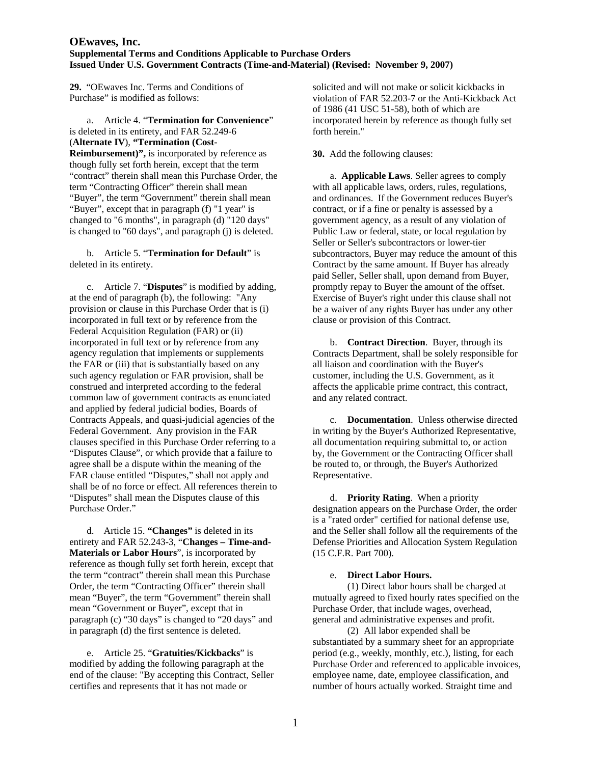**29.** "OEwaves Inc. Terms and Conditions of Purchase" is modified as follows:

 a. Article 4. "**Termination for Convenience**" is deleted in its entirety, and FAR 52.249-6 (**Alternate IV**), **"Termination (Cost-Reimbursement)",** is incorporated by reference as though fully set forth herein, except that the term "contract" therein shall mean this Purchase Order, the

term "Contracting Officer" therein shall mean "Buyer", the term "Government" therein shall mean "Buyer", except that in paragraph (f) "1 year" is changed to "6 months", in paragraph (d) "120 days" is changed to "60 days", and paragraph (j) is deleted.

 b. Article 5. "**Termination for Default**" is deleted in its entirety.

 c. Article 7. "**Disputes**" is modified by adding, at the end of paragraph (b), the following: "Any provision or clause in this Purchase Order that is (i) incorporated in full text or by reference from the Federal Acquisition Regulation (FAR) or (ii) incorporated in full text or by reference from any agency regulation that implements or supplements the FAR or (iii) that is substantially based on any such agency regulation or FAR provision, shall be construed and interpreted according to the federal common law of government contracts as enunciated and applied by federal judicial bodies, Boards of Contracts Appeals, and quasi-judicial agencies of the Federal Government. Any provision in the FAR clauses specified in this Purchase Order referring to a "Disputes Clause", or which provide that a failure to agree shall be a dispute within the meaning of the FAR clause entitled "Disputes," shall not apply and shall be of no force or effect. All references therein to "Disputes" shall mean the Disputes clause of this Purchase Order."

 d. Article 15. **"Changes"** is deleted in its entirety and FAR 52.243-3, "**Changes – Time-and-Materials or Labor Hours**", is incorporated by reference as though fully set forth herein, except that the term "contract" therein shall mean this Purchase Order, the term "Contracting Officer" therein shall mean "Buyer", the term "Government" therein shall mean "Government or Buyer", except that in paragraph (c) "30 days" is changed to "20 days" and in paragraph (d) the first sentence is deleted.

 e. Article 25. "**Gratuities/Kickbacks**" is modified by adding the following paragraph at the end of the clause: "By accepting this Contract, Seller certifies and represents that it has not made or

solicited and will not make or solicit kickbacks in violation of FAR 52.203-7 or the Anti-Kickback Act of 1986 (41 USC 51-58), both of which are incorporated herein by reference as though fully set forth herein."

# **30.** Add the following clauses:

 a. **Applicable Laws**. Seller agrees to comply with all applicable laws, orders, rules, regulations, and ordinances. If the Government reduces Buyer's contract, or if a fine or penalty is assessed by a government agency, as a result of any violation of Public Law or federal, state, or local regulation by Seller or Seller's subcontractors or lower-tier subcontractors, Buyer may reduce the amount of this Contract by the same amount. If Buyer has already paid Seller, Seller shall, upon demand from Buyer, promptly repay to Buyer the amount of the offset. Exercise of Buyer's right under this clause shall not be a waiver of any rights Buyer has under any other clause or provision of this Contract.

 b. **Contract Direction**. Buyer, through its Contracts Department, shall be solely responsible for all liaison and coordination with the Buyer's customer, including the U.S. Government, as it affects the applicable prime contract, this contract, and any related contract.

 c. **Documentation**. Unless otherwise directed in writing by the Buyer's Authorized Representative, all documentation requiring submittal to, or action by, the Government or the Contracting Officer shall be routed to, or through, the Buyer's Authorized Representative.

 d. **Priority Rating**. When a priority designation appears on the Purchase Order, the order is a "rated order" certified for national defense use, and the Seller shall follow all the requirements of the Defense Priorities and Allocation System Regulation (15 C.F.R. Part 700).

## e. **Direct Labor Hours.**

 (1) Direct labor hours shall be charged at mutually agreed to fixed hourly rates specified on the Purchase Order, that include wages, overhead, general and administrative expenses and profit.

 (2) All labor expended shall be substantiated by a summary sheet for an appropriate period (e.g., weekly, monthly, etc.), listing, for each Purchase Order and referenced to applicable invoices, employee name, date, employee classification, and number of hours actually worked. Straight time and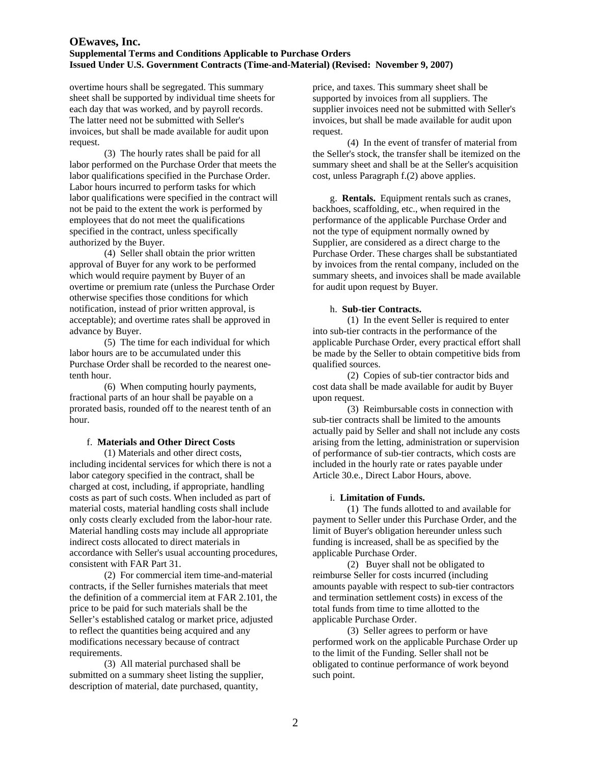overtime hours shall be segregated. This summary sheet shall be supported by individual time sheets for each day that was worked, and by payroll records. The latter need not be submitted with Seller's invoices, but shall be made available for audit upon request.

 (3) The hourly rates shall be paid for all labor performed on the Purchase Order that meets the labor qualifications specified in the Purchase Order. Labor hours incurred to perform tasks for which labor qualifications were specified in the contract will not be paid to the extent the work is performed by employees that do not meet the qualifications specified in the contract, unless specifically authorized by the Buyer.

 (4) Seller shall obtain the prior written approval of Buyer for any work to be performed which would require payment by Buyer of an overtime or premium rate (unless the Purchase Order otherwise specifies those conditions for which notification, instead of prior written approval, is acceptable); and overtime rates shall be approved in advance by Buyer.

 (5) The time for each individual for which labor hours are to be accumulated under this Purchase Order shall be recorded to the nearest onetenth hour.

 (6) When computing hourly payments, fractional parts of an hour shall be payable on a prorated basis, rounded off to the nearest tenth of an hour.

### f. **Materials and Other Direct Costs**

(1) Materials and other direct costs, including incidental services for which there is not a labor category specified in the contract, shall be charged at cost, including, if appropriate, handling costs as part of such costs. When included as part of material costs, material handling costs shall include only costs clearly excluded from the labor-hour rate. Material handling costs may include all appropriate indirect costs allocated to direct materials in accordance with Seller's usual accounting procedures, consistent with FAR Part 31.

 (2) For commercial item time-and-material contracts, if the Seller furnishes materials that meet the definition of a commercial item at FAR 2.101, the price to be paid for such materials shall be the Seller's established catalog or market price, adjusted to reflect the quantities being acquired and any modifications necessary because of contract requirements.

 (3) All material purchased shall be submitted on a summary sheet listing the supplier, description of material, date purchased, quantity,

price, and taxes. This summary sheet shall be supported by invoices from all suppliers. The supplier invoices need not be submitted with Seller's invoices, but shall be made available for audit upon request.

 (4) In the event of transfer of material from the Seller's stock, the transfer shall be itemized on the summary sheet and shall be at the Seller's acquisition cost, unless Paragraph f.(2) above applies.

 g. **Rentals.** Equipment rentals such as cranes, backhoes, scaffolding, etc., when required in the performance of the applicable Purchase Order and not the type of equipment normally owned by Supplier, are considered as a direct charge to the Purchase Order. These charges shall be substantiated by invoices from the rental company, included on the summary sheets, and invoices shall be made available for audit upon request by Buyer.

### h. **Sub-tier Contracts.**

 (1) In the event Seller is required to enter into sub-tier contracts in the performance of the applicable Purchase Order, every practical effort shall be made by the Seller to obtain competitive bids from qualified sources.

 (2) Copies of sub-tier contractor bids and cost data shall be made available for audit by Buyer upon request.

 (3) Reimbursable costs in connection with sub-tier contracts shall be limited to the amounts actually paid by Seller and shall not include any costs arising from the letting, administration or supervision of performance of sub-tier contracts, which costs are included in the hourly rate or rates payable under Article 30.e., Direct Labor Hours, above.

### i. **Limitation of Funds.**

 (1) The funds allotted to and available for payment to Seller under this Purchase Order, and the limit of Buyer's obligation hereunder unless such funding is increased, shall be as specified by the applicable Purchase Order.

 (2) Buyer shall not be obligated to reimburse Seller for costs incurred (including amounts payable with respect to sub-tier contractors and termination settlement costs) in excess of the total funds from time to time allotted to the applicable Purchase Order.

 (3) Seller agrees to perform or have performed work on the applicable Purchase Order up to the limit of the Funding. Seller shall not be obligated to continue performance of work beyond such point.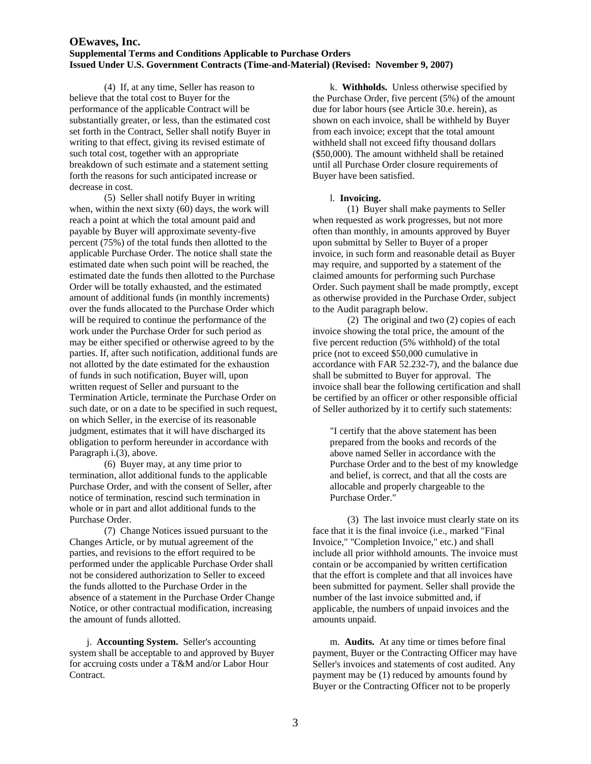(4) If, at any time, Seller has reason to believe that the total cost to Buyer for the performance of the applicable Contract will be substantially greater, or less, than the estimated cost set forth in the Contract, Seller shall notify Buyer in writing to that effect, giving its revised estimate of such total cost, together with an appropriate breakdown of such estimate and a statement setting forth the reasons for such anticipated increase or decrease in cost.

 (5) Seller shall notify Buyer in writing when, within the next sixty (60) days, the work will reach a point at which the total amount paid and payable by Buyer will approximate seventy-five percent (75%) of the total funds then allotted to the applicable Purchase Order. The notice shall state the estimated date when such point will be reached, the estimated date the funds then allotted to the Purchase Order will be totally exhausted, and the estimated amount of additional funds (in monthly increments) over the funds allocated to the Purchase Order which will be required to continue the performance of the work under the Purchase Order for such period as may be either specified or otherwise agreed to by the parties. If, after such notification, additional funds are not allotted by the date estimated for the exhaustion of funds in such notification, Buyer will, upon written request of Seller and pursuant to the Termination Article, terminate the Purchase Order on such date, or on a date to be specified in such request, on which Seller, in the exercise of its reasonable judgment, estimates that it will have discharged its obligation to perform hereunder in accordance with Paragraph i.(3), above.

 (6) Buyer may, at any time prior to termination, allot additional funds to the applicable Purchase Order, and with the consent of Seller, after notice of termination, rescind such termination in whole or in part and allot additional funds to the Purchase Order.

 (7) Change Notices issued pursuant to the Changes Article, or by mutual agreement of the parties, and revisions to the effort required to be performed under the applicable Purchase Order shall not be considered authorization to Seller to exceed the funds allotted to the Purchase Order in the absence of a statement in the Purchase Order Change Notice, or other contractual modification, increasing the amount of funds allotted.

j. **Accounting System.** Seller's accounting system shall be acceptable to and approved by Buyer for accruing costs under a T&M and/or Labor Hour Contract.

 k. **Withholds.** Unless otherwise specified by the Purchase Order, five percent (5%) of the amount due for labor hours (see Article 30.e. herein), as shown on each invoice, shall be withheld by Buyer from each invoice; except that the total amount withheld shall not exceed fifty thousand dollars (\$50,000). The amount withheld shall be retained until all Purchase Order closure requirements of Buyer have been satisfied.

### l. **Invoicing.**

 (1) Buyer shall make payments to Seller when requested as work progresses, but not more often than monthly, in amounts approved by Buyer upon submittal by Seller to Buyer of a proper invoice, in such form and reasonable detail as Buyer may require, and supported by a statement of the claimed amounts for performing such Purchase Order. Such payment shall be made promptly, except as otherwise provided in the Purchase Order, subject to the Audit paragraph below.

 (2) The original and two (2) copies of each invoice showing the total price, the amount of the five percent reduction (5% withhold) of the total price (not to exceed \$50,000 cumulative in accordance with FAR 52.232-7), and the balance due shall be submitted to Buyer for approval. The invoice shall bear the following certification and shall be certified by an officer or other responsible official of Seller authorized by it to certify such statements:

"I certify that the above statement has been prepared from the books and records of the above named Seller in accordance with the Purchase Order and to the best of my knowledge and belief, is correct, and that all the costs are allocable and properly chargeable to the Purchase Order."

 (3) The last invoice must clearly state on its face that it is the final invoice (i.e., marked "Final Invoice," "Completion Invoice," etc.) and shall include all prior withhold amounts. The invoice must contain or be accompanied by written certification that the effort is complete and that all invoices have been submitted for payment. Seller shall provide the number of the last invoice submitted and, if applicable, the numbers of unpaid invoices and the amounts unpaid.

 m. **Audits.** At any time or times before final payment, Buyer or the Contracting Officer may have Seller's invoices and statements of cost audited. Any payment may be (1) reduced by amounts found by Buyer or the Contracting Officer not to be properly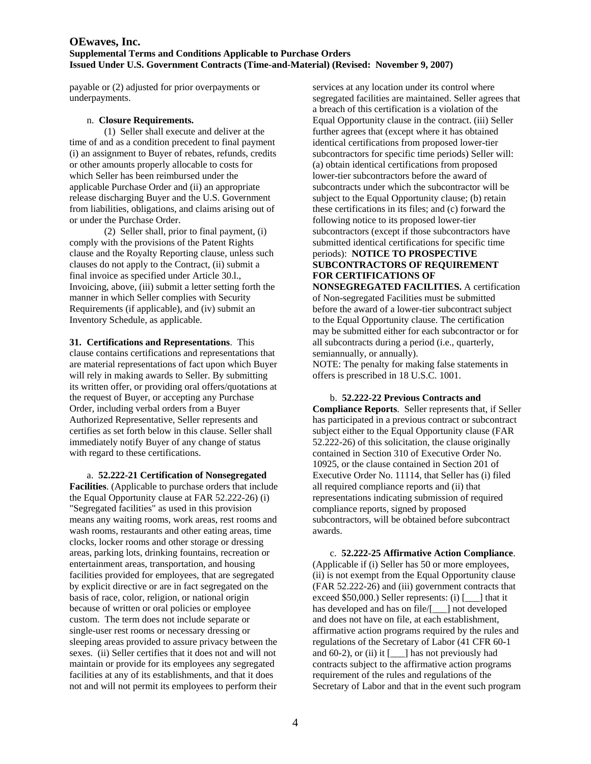payable or (2) adjusted for prior overpayments or underpayments.

#### n. **Closure Requirements.**

 (1) Seller shall execute and deliver at the time of and as a condition precedent to final payment (i) an assignment to Buyer of rebates, refunds, credits or other amounts properly allocable to costs for which Seller has been reimbursed under the applicable Purchase Order and (ii) an appropriate release discharging Buyer and the U.S. Government from liabilities, obligations, and claims arising out of or under the Purchase Order.

 (2) Seller shall, prior to final payment, (i) comply with the provisions of the Patent Rights clause and the Royalty Reporting clause, unless such clauses do not apply to the Contract, (ii) submit a final invoice as specified under Article 30.l., Invoicing, above, (iii) submit a letter setting forth the manner in which Seller complies with Security Requirements (if applicable), and (iv) submit an Inventory Schedule, as applicable.

**31. Certifications and Representations**. This clause contains certifications and representations that are material representations of fact upon which Buyer will rely in making awards to Seller. By submitting its written offer, or providing oral offers/quotations at the request of Buyer, or accepting any Purchase Order, including verbal orders from a Buyer Authorized Representative, Seller represents and certifies as set forth below in this clause. Seller shall immediately notify Buyer of any change of status with regard to these certifications.

 a. **52.222-21 Certification of Nonsegregated Facilities**. (Applicable to purchase orders that include the Equal Opportunity clause at FAR 52.222-26) (i) "Segregated facilities" as used in this provision means any waiting rooms, work areas, rest rooms and wash rooms, restaurants and other eating areas, time clocks, locker rooms and other storage or dressing areas, parking lots, drinking fountains, recreation or entertainment areas, transportation, and housing facilities provided for employees, that are segregated by explicit directive or are in fact segregated on the basis of race, color, religion, or national origin because of written or oral policies or employee custom. The term does not include separate or single-user rest rooms or necessary dressing or sleeping areas provided to assure privacy between the sexes. (ii) Seller certifies that it does not and will not maintain or provide for its employees any segregated facilities at any of its establishments, and that it does not and will not permit its employees to perform their

services at any location under its control where segregated facilities are maintained. Seller agrees that a breach of this certification is a violation of the Equal Opportunity clause in the contract. (iii) Seller further agrees that (except where it has obtained identical certifications from proposed lower-tier subcontractors for specific time periods) Seller will: (a) obtain identical certifications from proposed lower-tier subcontractors before the award of subcontracts under which the subcontractor will be subject to the Equal Opportunity clause; (b) retain these certifications in its files; and (c) forward the following notice to its proposed lower-tier subcontractors (except if those subcontractors have submitted identical certifications for specific time periods): **NOTICE TO PROSPECTIVE SUBCONTRACTORS OF REQUIREMENT FOR CERTIFICATIONS OF** 

**NONSEGREGATED FACILITIES.** A certification of Non-segregated Facilities must be submitted before the award of a lower-tier subcontract subject to the Equal Opportunity clause. The certification may be submitted either for each subcontractor or for all subcontracts during a period (i.e., quarterly, semiannually, or annually).

NOTE: The penalty for making false statements in offers is prescribed in 18 U.S.C. 1001.

### b. **52.222-22 Previous Contracts and**

**Compliance Reports**. Seller represents that, if Seller has participated in a previous contract or subcontract subject either to the Equal Opportunity clause (FAR 52.222-26) of this solicitation, the clause originally contained in Section 310 of Executive Order No. 10925, or the clause contained in Section 201 of Executive Order No. 11114, that Seller has (i) filed all required compliance reports and (ii) that representations indicating submission of required compliance reports, signed by proposed subcontractors, will be obtained before subcontract awards.

 c. **52.222-25 Affirmative Action Compliance**. (Applicable if (i) Seller has 50 or more employees, (ii) is not exempt from the Equal Opportunity clause (FAR 52.222-26) and (iii) government contracts that exceed \$50,000.) Seller represents: (i) [\_\_\_] that it has developed and has on file/[\_\_\_] not developed and does not have on file, at each establishment, affirmative action programs required by the rules and regulations of the Secretary of Labor (41 CFR 60-1 and  $60-2$ ), or (ii) it  $[\_\_\]$  has not previously had contracts subject to the affirmative action programs requirement of the rules and regulations of the Secretary of Labor and that in the event such program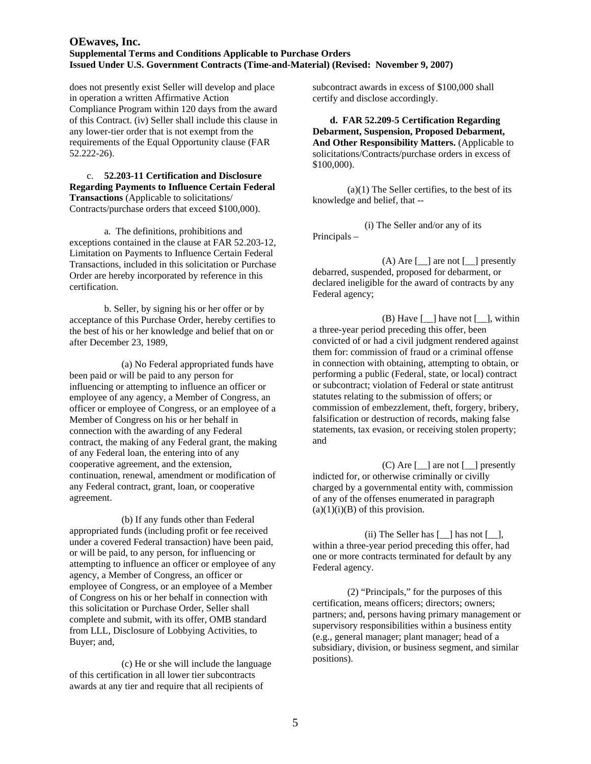does not presently exist Seller will develop and place in operation a written Affirmative Action Compliance Program within 120 days from the award of this Contract. (iv) Seller shall include this clause in any lower-tier order that is not exempt from the requirements of the Equal Opportunity clause (FAR 52.222-26).

### c. **52.203-11 Certification and Disclosure Regarding Payments to Influence Certain Federal Transactions** (Applicable to solicitations/ Contracts/purchase orders that exceed \$100,000).

 a. The definitions, prohibitions and exceptions contained in the clause at FAR 52.203-12, Limitation on Payments to Influence Certain Federal Transactions, included in this solicitation or Purchase Order are hereby incorporated by reference in this certification.

 b. Seller, by signing his or her offer or by acceptance of this Purchase Order, hereby certifies to the best of his or her knowledge and belief that on or after December 23, 1989,

 (a) No Federal appropriated funds have been paid or will be paid to any person for influencing or attempting to influence an officer or employee of any agency, a Member of Congress, an officer or employee of Congress, or an employee of a Member of Congress on his or her behalf in connection with the awarding of any Federal contract, the making of any Federal grant, the making of any Federal loan, the entering into of any cooperative agreement, and the extension, continuation, renewal, amendment or modification of any Federal contract, grant, loan, or cooperative agreement.

 (b) If any funds other than Federal appropriated funds (including profit or fee received under a covered Federal transaction) have been paid, or will be paid, to any person, for influencing or attempting to influence an officer or employee of any agency, a Member of Congress, an officer or employee of Congress, or an employee of a Member of Congress on his or her behalf in connection with this solicitation or Purchase Order, Seller shall complete and submit, with its offer, OMB standard from LLL, Disclosure of Lobbying Activities, to Buyer; and,

 (c) He or she will include the language of this certification in all lower tier subcontracts awards at any tier and require that all recipients of

subcontract awards in excess of \$100,000 shall certify and disclose accordingly.

**d. FAR 52.209-5 Certification Regarding Debarment, Suspension, Proposed Debarment, And Other Responsibility Matters.** (Applicable to solicitations/Contracts/purchase orders in excess of \$100,000).

 $(a)(1)$  The Seller certifies, to the best of its knowledge and belief, that --

(i) The Seller and/or any of its Principals –

(A) Are  $\lceil \quad \rceil$  are not  $\lceil \quad \rceil$  presently debarred, suspended, proposed for debarment, or declared ineligible for the award of contracts by any Federal agency;

(B) Have  $\lceil \quad \rceil$  have not  $\lceil \quad \rceil$ , within a three-year period preceding this offer, been convicted of or had a civil judgment rendered against them for: commission of fraud or a criminal offense in connection with obtaining, attempting to obtain, or performing a public (Federal, state, or local) contract or subcontract; violation of Federal or state antitrust statutes relating to the submission of offers; or commission of embezzlement, theft, forgery, bribery, falsification or destruction of records, making false statements, tax evasion, or receiving stolen property; and

 $(C)$  Are  $\left[\_\_\right]$  are not  $\left[\_\_\right]$  presently indicted for, or otherwise criminally or civilly charged by a governmental entity with, commission of any of the offenses enumerated in paragraph  $(a)(1)(i)(B)$  of this provision.

(ii) The Seller has [\_\_] has not [\_\_], within a three-year period preceding this offer, had one or more contracts terminated for default by any Federal agency.

(2) "Principals," for the purposes of this certification, means officers; directors; owners; partners; and, persons having primary management or supervisory responsibilities within a business entity (e.g., general manager; plant manager; head of a subsidiary, division, or business segment, and similar positions).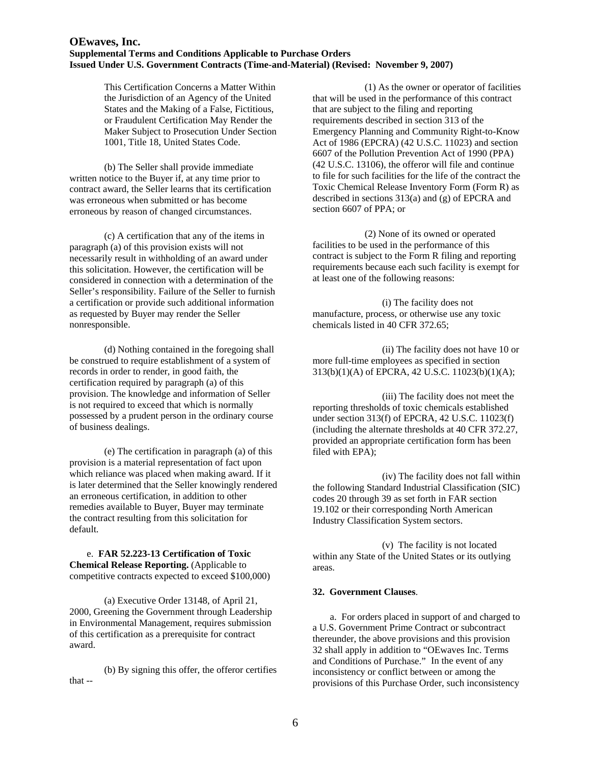This Certification Concerns a Matter Within the Jurisdiction of an Agency of the United States and the Making of a False, Fictitious, or Fraudulent Certification May Render the Maker Subject to Prosecution Under Section 1001, Title 18, United States Code.

(b) The Seller shall provide immediate written notice to the Buyer if, at any time prior to contract award, the Seller learns that its certification was erroneous when submitted or has become erroneous by reason of changed circumstances.

 (c) A certification that any of the items in paragraph (a) of this provision exists will not necessarily result in withholding of an award under this solicitation. However, the certification will be considered in connection with a determination of the Seller's responsibility. Failure of the Seller to furnish a certification or provide such additional information as requested by Buyer may render the Seller nonresponsible.

(d) Nothing contained in the foregoing shall be construed to require establishment of a system of records in order to render, in good faith, the certification required by paragraph (a) of this provision. The knowledge and information of Seller is not required to exceed that which is normally possessed by a prudent person in the ordinary course of business dealings.

(e) The certification in paragraph (a) of this provision is a material representation of fact upon which reliance was placed when making award. If it is later determined that the Seller knowingly rendered an erroneous certification, in addition to other remedies available to Buyer, Buyer may terminate the contract resulting from this solicitation for default.

 e. **FAR 52.223-13 Certification of Toxic Chemical Release Reporting.** (Applicable to competitive contracts expected to exceed \$100,000)

(a) Executive Order 13148, of April 21, 2000, Greening the Government through Leadership in Environmental Management, requires submission of this certification as a prerequisite for contract award.

(b) By signing this offer, the offeror certifies that --

(1) As the owner or operator of facilities that will be used in the performance of this contract that are subject to the filing and reporting requirements described in section 313 of the Emergency Planning and Community Right-to-Know Act of 1986 (EPCRA) (42 U.S.C. 11023) and section 6607 of the Pollution Prevention Act of 1990 (PPA) (42 U.S.C. 13106), the offeror will file and continue to file for such facilities for the life of the contract the Toxic Chemical Release Inventory Form (Form R) as described in sections 313(a) and (g) of EPCRA and section 6607 of PPA; or

(2) None of its owned or operated facilities to be used in the performance of this contract is subject to the Form R filing and reporting requirements because each such facility is exempt for at least one of the following reasons:

(i) The facility does not manufacture, process, or otherwise use any toxic chemicals listed in 40 CFR 372.65;

(ii) The facility does not have 10 or more full-time employees as specified in section 313(b)(1)(A) of EPCRA, 42 U.S.C. 11023(b)(1)(A);

(iii) The facility does not meet the reporting thresholds of toxic chemicals established under section 313(f) of EPCRA, 42 U.S.C. 11023(f) (including the alternate thresholds at 40 CFR 372.27, provided an appropriate certification form has been filed with EPA);

(iv) The facility does not fall within the following Standard Industrial Classification (SIC) codes 20 through 39 as set forth in FAR section 19.102 or their corresponding North American Industry Classification System sectors.

(v) The facility is not located within any State of the United States or its outlying areas.

### **32. Government Clauses**.

a. For orders placed in support of and charged to a U.S. Government Prime Contract or subcontract thereunder, the above provisions and this provision 32 shall apply in addition to "OEwaves Inc. Terms and Conditions of Purchase." In the event of any inconsistency or conflict between or among the provisions of this Purchase Order, such inconsistency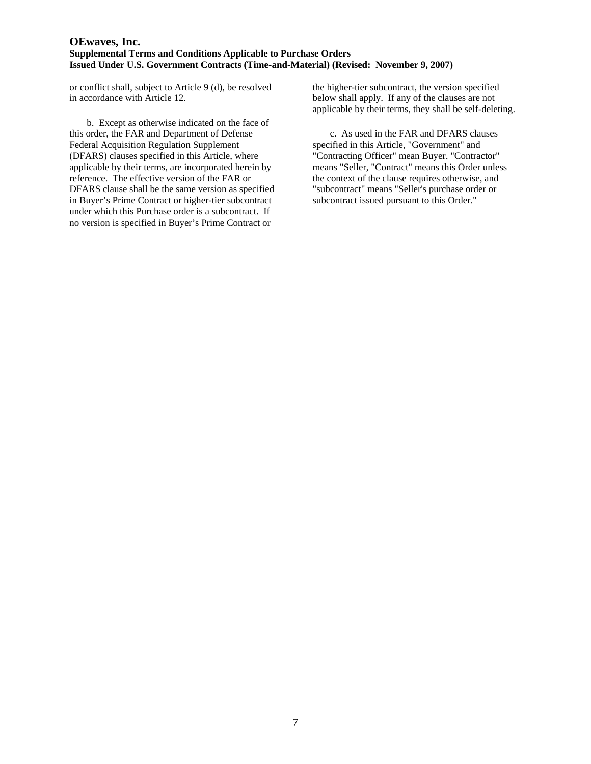or conflict shall, subject to Article 9 (d), be resolved in accordance with Article 12.

b. Except as otherwise indicated on the face of this order, the FAR and Department of Defense Federal Acquisition Regulation Supplement (DFARS) clauses specified in this Article, where applicable by their terms, are incorporated herein by reference. The effective version of the FAR or DFARS clause shall be the same version as specified in Buyer's Prime Contract or higher-tier subcontract under which this Purchase order is a subcontract. If no version is specified in Buyer's Prime Contract or

the higher-tier subcontract, the version specified below shall apply. If any of the clauses are not applicable by their terms, they shall be self-deleting.

c. As used in the FAR and DFARS clauses specified in this Article, "Government" and "Contracting Officer" mean Buyer. "Contractor" means "Seller, "Contract" means this Order unless the context of the clause requires otherwise, and "subcontract" means "Seller's purchase order or subcontract issued pursuant to this Order."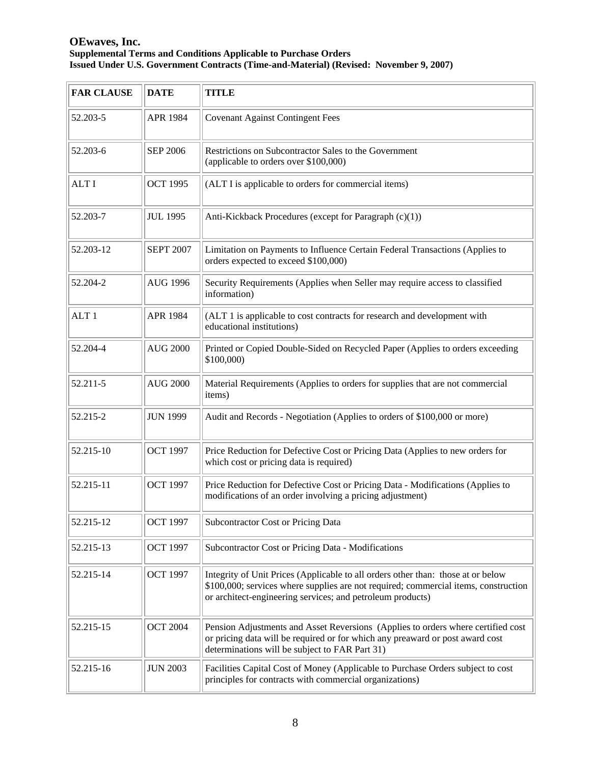| <b>FAR CLAUSE</b> | <b>DATE</b>      | <b>TITLE</b>                                                                                                                                                                                                                          |
|-------------------|------------------|---------------------------------------------------------------------------------------------------------------------------------------------------------------------------------------------------------------------------------------|
| 52.203-5          | APR 1984         | <b>Covenant Against Contingent Fees</b>                                                                                                                                                                                               |
| 52.203-6          | <b>SEP 2006</b>  | Restrictions on Subcontractor Sales to the Government<br>(applicable to orders over \$100,000)                                                                                                                                        |
| <b>ALTI</b>       | <b>OCT 1995</b>  | (ALT I is applicable to orders for commercial items)                                                                                                                                                                                  |
| 52.203-7          | <b>JUL 1995</b>  | Anti-Kickback Procedures (except for Paragraph (c)(1))                                                                                                                                                                                |
| 52.203-12         | <b>SEPT 2007</b> | Limitation on Payments to Influence Certain Federal Transactions (Applies to<br>orders expected to exceed \$100,000)                                                                                                                  |
| 52.204-2          | <b>AUG 1996</b>  | Security Requirements (Applies when Seller may require access to classified<br>information)                                                                                                                                           |
| ALT <sub>1</sub>  | APR 1984         | (ALT 1 is applicable to cost contracts for research and development with<br>educational institutions)                                                                                                                                 |
| 52.204-4          | <b>AUG 2000</b>  | Printed or Copied Double-Sided on Recycled Paper (Applies to orders exceeding<br>\$100,000)                                                                                                                                           |
| 52.211-5          | <b>AUG 2000</b>  | Material Requirements (Applies to orders for supplies that are not commercial<br>items)                                                                                                                                               |
| 52.215-2          | <b>JUN 1999</b>  | Audit and Records - Negotiation (Applies to orders of \$100,000 or more)                                                                                                                                                              |
| 52.215-10         | <b>OCT 1997</b>  | Price Reduction for Defective Cost or Pricing Data (Applies to new orders for<br>which cost or pricing data is required)                                                                                                              |
| 52.215-11         | <b>OCT 1997</b>  | Price Reduction for Defective Cost or Pricing Data - Modifications (Applies to<br>modifications of an order involving a pricing adjustment)                                                                                           |
| 52.215-12         | <b>OCT 1997</b>  | Subcontractor Cost or Pricing Data                                                                                                                                                                                                    |
| 52.215-13         | <b>OCT 1997</b>  | Subcontractor Cost or Pricing Data - Modifications                                                                                                                                                                                    |
| 52.215-14         | <b>OCT 1997</b>  | Integrity of Unit Prices (Applicable to all orders other than: those at or below<br>\$100,000; services where supplies are not required; commercial items, construction<br>or architect-engineering services; and petroleum products) |
| 52.215-15         | <b>OCT 2004</b>  | Pension Adjustments and Asset Reversions (Applies to orders where certified cost<br>or pricing data will be required or for which any preaward or post award cost<br>determinations will be subject to FAR Part 31)                   |
| 52.215-16         | <b>JUN 2003</b>  | Facilities Capital Cost of Money (Applicable to Purchase Orders subject to cost<br>principles for contracts with commercial organizations)                                                                                            |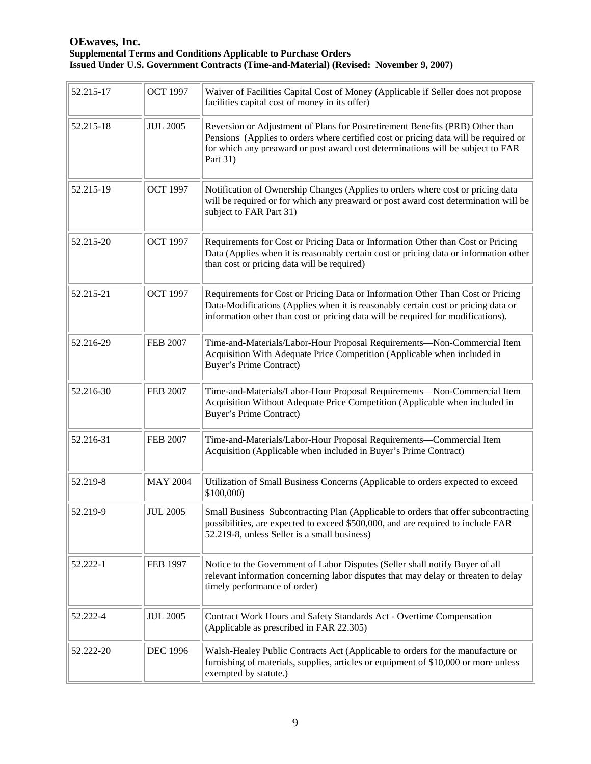| 52.215-17 | <b>OCT 1997</b> | Waiver of Facilities Capital Cost of Money (Applicable if Seller does not propose<br>facilities capital cost of money in its offer)                                                                                                                                  |
|-----------|-----------------|----------------------------------------------------------------------------------------------------------------------------------------------------------------------------------------------------------------------------------------------------------------------|
| 52.215-18 | <b>JUL 2005</b> | Reversion or Adjustment of Plans for Postretirement Benefits (PRB) Other than<br>Pensions (Applies to orders where certified cost or pricing data will be required or<br>for which any preaward or post award cost determinations will be subject to FAR<br>Part 31) |
| 52.215-19 | <b>OCT 1997</b> | Notification of Ownership Changes (Applies to orders where cost or pricing data<br>will be required or for which any preaward or post award cost determination will be<br>subject to FAR Part 31)                                                                    |
| 52.215-20 | <b>OCT 1997</b> | Requirements for Cost or Pricing Data or Information Other than Cost or Pricing<br>Data (Applies when it is reasonably certain cost or pricing data or information other<br>than cost or pricing data will be required)                                              |
| 52.215-21 | <b>OCT 1997</b> | Requirements for Cost or Pricing Data or Information Other Than Cost or Pricing<br>Data-Modifications (Applies when it is reasonably certain cost or pricing data or<br>information other than cost or pricing data will be required for modifications).             |
| 52.216-29 | <b>FEB 2007</b> | Time-and-Materials/Labor-Hour Proposal Requirements-Non-Commercial Item<br>Acquisition With Adequate Price Competition (Applicable when included in<br><b>Buyer's Prime Contract)</b>                                                                                |
| 52.216-30 | <b>FEB 2007</b> | Time-and-Materials/Labor-Hour Proposal Requirements-Non-Commercial Item<br>Acquisition Without Adequate Price Competition (Applicable when included in<br><b>Buyer's Prime Contract)</b>                                                                             |
| 52.216-31 | <b>FEB 2007</b> | Time-and-Materials/Labor-Hour Proposal Requirements-Commercial Item<br>Acquisition (Applicable when included in Buyer's Prime Contract)                                                                                                                              |
| 52.219-8  | <b>MAY 2004</b> | Utilization of Small Business Concerns (Applicable to orders expected to exceed<br>\$100,000)                                                                                                                                                                        |
| 52.219-9  | <b>JUL 2005</b> | Small Business Subcontracting Plan (Applicable to orders that offer subcontracting<br>possibilities, are expected to exceed \$500,000, and are required to include FAR<br>52.219-8, unless Seller is a small business)                                               |
| 52.222-1  | <b>FEB 1997</b> | Notice to the Government of Labor Disputes (Seller shall notify Buyer of all<br>relevant information concerning labor disputes that may delay or threaten to delay<br>timely performance of order)                                                                   |
| 52.222-4  | <b>JUL 2005</b> | Contract Work Hours and Safety Standards Act - Overtime Compensation<br>(Applicable as prescribed in FAR 22.305)                                                                                                                                                     |
| 52.222-20 | <b>DEC 1996</b> | Walsh-Healey Public Contracts Act (Applicable to orders for the manufacture or<br>furnishing of materials, supplies, articles or equipment of \$10,000 or more unless<br>exempted by statute.)                                                                       |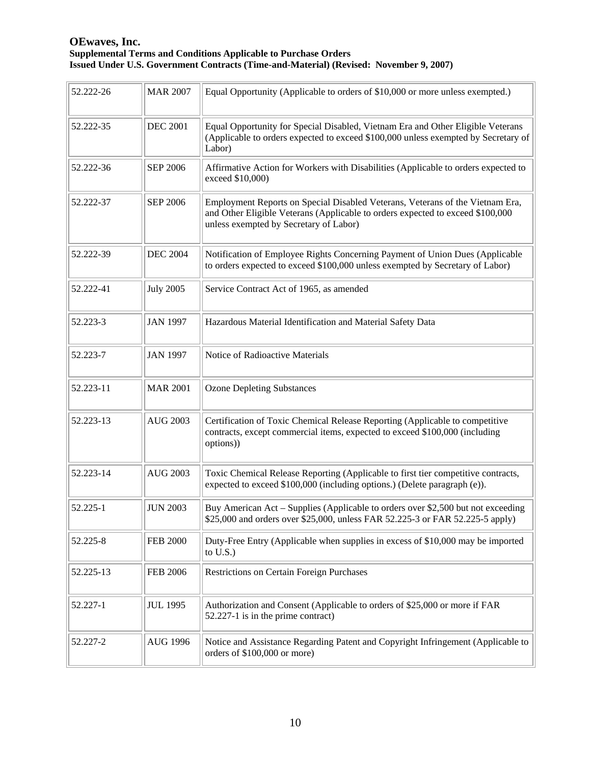| 52.222-26 | <b>MAR 2007</b>  | Equal Opportunity (Applicable to orders of \$10,000 or more unless exempted.)                                                                                                                             |
|-----------|------------------|-----------------------------------------------------------------------------------------------------------------------------------------------------------------------------------------------------------|
| 52.222-35 | <b>DEC 2001</b>  | Equal Opportunity for Special Disabled, Vietnam Era and Other Eligible Veterans<br>(Applicable to orders expected to exceed \$100,000 unless exempted by Secretary of<br>Labor)                           |
| 52.222-36 | <b>SEP 2006</b>  | Affirmative Action for Workers with Disabilities (Applicable to orders expected to<br>exceed \$10,000)                                                                                                    |
| 52.222-37 | <b>SEP 2006</b>  | Employment Reports on Special Disabled Veterans, Veterans of the Vietnam Era,<br>and Other Eligible Veterans (Applicable to orders expected to exceed \$100,000<br>unless exempted by Secretary of Labor) |
| 52.222-39 | <b>DEC 2004</b>  | Notification of Employee Rights Concerning Payment of Union Dues (Applicable<br>to orders expected to exceed \$100,000 unless exempted by Secretary of Labor)                                             |
| 52.222-41 | <b>July 2005</b> | Service Contract Act of 1965, as amended                                                                                                                                                                  |
| 52.223-3  | <b>JAN 1997</b>  | Hazardous Material Identification and Material Safety Data                                                                                                                                                |
| 52.223-7  | <b>JAN 1997</b>  | Notice of Radioactive Materials                                                                                                                                                                           |
| 52.223-11 | <b>MAR 2001</b>  | <b>Ozone Depleting Substances</b>                                                                                                                                                                         |
| 52.223-13 | <b>AUG 2003</b>  | Certification of Toxic Chemical Release Reporting (Applicable to competitive<br>contracts, except commercial items, expected to exceed \$100,000 (including<br>options))                                  |
| 52.223-14 | <b>AUG 2003</b>  | Toxic Chemical Release Reporting (Applicable to first tier competitive contracts,<br>expected to exceed \$100,000 (including options.) (Delete paragraph (e)).                                            |
| 52.225-1  | <b>JUN 2003</b>  | Buy American Act – Supplies (Applicable to orders over \$2,500 but not exceeding<br>\$25,000 and orders over \$25,000, unless FAR 52.225-3 or FAR 52.225-5 apply)                                         |
| 52.225-8  | <b>FEB 2000</b>  | Duty-Free Entry (Applicable when supplies in excess of \$10,000 may be imported<br>to $U.S.$ )                                                                                                            |
| 52.225-13 | <b>FEB 2006</b>  | <b>Restrictions on Certain Foreign Purchases</b>                                                                                                                                                          |
| 52.227-1  | <b>JUL 1995</b>  | Authorization and Consent (Applicable to orders of \$25,000 or more if FAR<br>52.227-1 is in the prime contract)                                                                                          |
| 52.227-2  | <b>AUG 1996</b>  | Notice and Assistance Regarding Patent and Copyright Infringement (Applicable to<br>orders of \$100,000 or more)                                                                                          |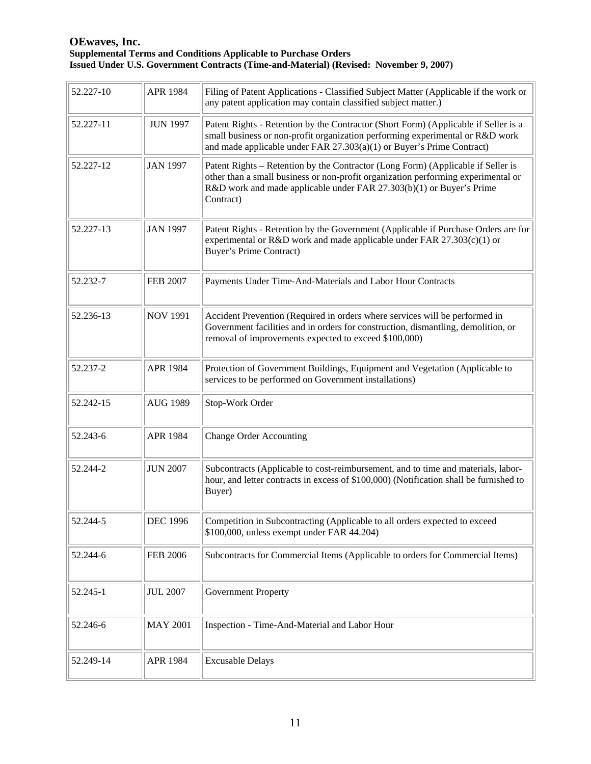| 52.227-10 | APR 1984        | Filing of Patent Applications - Classified Subject Matter (Applicable if the work or<br>any patent application may contain classified subject matter.)                                                                                                     |
|-----------|-----------------|------------------------------------------------------------------------------------------------------------------------------------------------------------------------------------------------------------------------------------------------------------|
| 52.227-11 | <b>JUN 1997</b> | Patent Rights - Retention by the Contractor (Short Form) (Applicable if Seller is a<br>small business or non-profit organization performing experimental or R&D work<br>and made applicable under FAR $27.303(a)(1)$ or Buyer's Prime Contract)            |
| 52.227-12 | <b>JAN 1997</b> | Patent Rights – Retention by the Contractor (Long Form) (Applicable if Seller is<br>other than a small business or non-profit organization performing experimental or<br>R&D work and made applicable under FAR 27.303(b)(1) or Buyer's Prime<br>Contract) |
| 52.227-13 | <b>JAN 1997</b> | Patent Rights - Retention by the Government (Applicable if Purchase Orders are for<br>experimental or R&D work and made applicable under FAR $27.303(c)(1)$ or<br><b>Buyer's Prime Contract)</b>                                                           |
| 52.232-7  | <b>FEB 2007</b> | Payments Under Time-And-Materials and Labor Hour Contracts                                                                                                                                                                                                 |
| 52.236-13 | <b>NOV 1991</b> | Accident Prevention (Required in orders where services will be performed in<br>Government facilities and in orders for construction, dismantling, demolition, or<br>removal of improvements expected to exceed \$100,000)                                  |
| 52.237-2  | APR 1984        | Protection of Government Buildings, Equipment and Vegetation (Applicable to<br>services to be performed on Government installations)                                                                                                                       |
| 52.242-15 | <b>AUG 1989</b> | Stop-Work Order                                                                                                                                                                                                                                            |
| 52.243-6  | APR 1984        | <b>Change Order Accounting</b>                                                                                                                                                                                                                             |
| 52.244-2  | <b>JUN 2007</b> | Subcontracts (Applicable to cost-reimbursement, and to time and materials, labor-<br>hour, and letter contracts in excess of \$100,000) (Notification shall be furnished to<br>Buyer)                                                                      |
| 52.244-5  | <b>DEC 1996</b> | Competition in Subcontracting (Applicable to all orders expected to exceed<br>\$100,000, unless exempt under FAR 44.204)                                                                                                                                   |
| 52.244-6  | <b>FEB 2006</b> | Subcontracts for Commercial Items (Applicable to orders for Commercial Items)                                                                                                                                                                              |
| 52.245-1  | <b>JUL 2007</b> | <b>Government Property</b>                                                                                                                                                                                                                                 |
| 52.246-6  | <b>MAY 2001</b> | Inspection - Time-And-Material and Labor Hour                                                                                                                                                                                                              |
| 52.249-14 | APR 1984        | <b>Excusable Delays</b>                                                                                                                                                                                                                                    |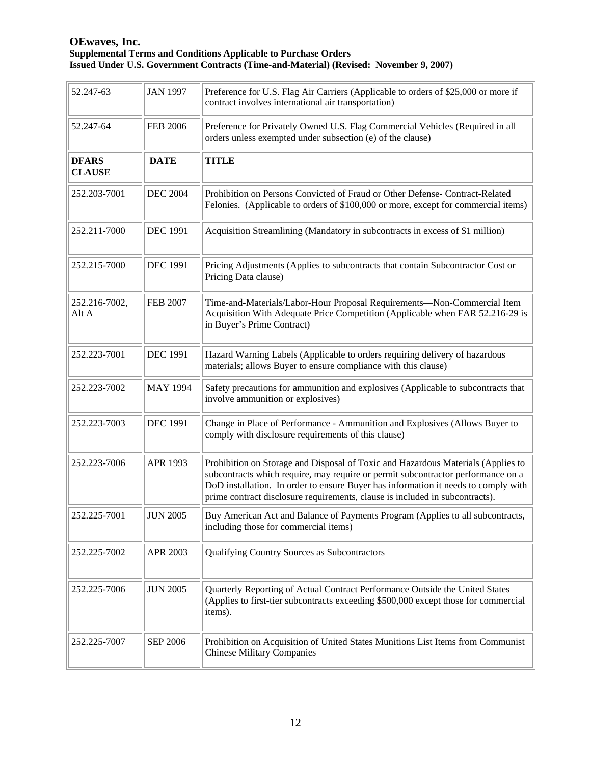| 52.247-63                     | <b>JAN 1997</b> | Preference for U.S. Flag Air Carriers (Applicable to orders of \$25,000 or more if<br>contract involves international air transportation)                                                                                                                                                                                                  |
|-------------------------------|-----------------|--------------------------------------------------------------------------------------------------------------------------------------------------------------------------------------------------------------------------------------------------------------------------------------------------------------------------------------------|
| 52.247-64                     | <b>FEB 2006</b> | Preference for Privately Owned U.S. Flag Commercial Vehicles (Required in all<br>orders unless exempted under subsection (e) of the clause)                                                                                                                                                                                                |
| <b>DFARS</b><br><b>CLAUSE</b> | <b>DATE</b>     | <b>TITLE</b>                                                                                                                                                                                                                                                                                                                               |
| 252.203-7001                  | <b>DEC 2004</b> | Prohibition on Persons Convicted of Fraud or Other Defense- Contract-Related<br>Felonies. (Applicable to orders of \$100,000 or more, except for commercial items)                                                                                                                                                                         |
| 252.211-7000                  | <b>DEC 1991</b> | Acquisition Streamlining (Mandatory in subcontracts in excess of \$1 million)                                                                                                                                                                                                                                                              |
| 252.215-7000                  | <b>DEC 1991</b> | Pricing Adjustments (Applies to subcontracts that contain Subcontractor Cost or<br>Pricing Data clause)                                                                                                                                                                                                                                    |
| 252.216-7002,<br>Alt A        | <b>FEB 2007</b> | Time-and-Materials/Labor-Hour Proposal Requirements-Non-Commercial Item<br>Acquisition With Adequate Price Competition (Applicable when FAR 52.216-29 is<br>in Buyer's Prime Contract)                                                                                                                                                     |
| 252.223-7001                  | <b>DEC 1991</b> | Hazard Warning Labels (Applicable to orders requiring delivery of hazardous<br>materials; allows Buyer to ensure compliance with this clause)                                                                                                                                                                                              |
| 252.223-7002                  | <b>MAY 1994</b> | Safety precautions for ammunition and explosives (Applicable to subcontracts that<br>involve ammunition or explosives)                                                                                                                                                                                                                     |
| 252.223-7003                  | <b>DEC 1991</b> | Change in Place of Performance - Ammunition and Explosives (Allows Buyer to<br>comply with disclosure requirements of this clause)                                                                                                                                                                                                         |
| 252.223-7006                  | APR 1993        | Prohibition on Storage and Disposal of Toxic and Hazardous Materials (Applies to<br>subcontracts which require, may require or permit subcontractor performance on a<br>DoD installation. In order to ensure Buyer has information it needs to comply with<br>prime contract disclosure requirements, clause is included in subcontracts). |
| 252.225-7001                  | <b>JUN 2005</b> | Buy American Act and Balance of Payments Program (Applies to all subcontracts,<br>including those for commercial items)                                                                                                                                                                                                                    |
| 252.225-7002                  | <b>APR 2003</b> | Qualifying Country Sources as Subcontractors                                                                                                                                                                                                                                                                                               |
| 252.225-7006                  | <b>JUN 2005</b> | Quarterly Reporting of Actual Contract Performance Outside the United States<br>(Applies to first-tier subcontracts exceeding \$500,000 except those for commercial<br>items).                                                                                                                                                             |
| 252.225-7007                  | <b>SEP 2006</b> | Prohibition on Acquisition of United States Munitions List Items from Communist<br><b>Chinese Military Companies</b>                                                                                                                                                                                                                       |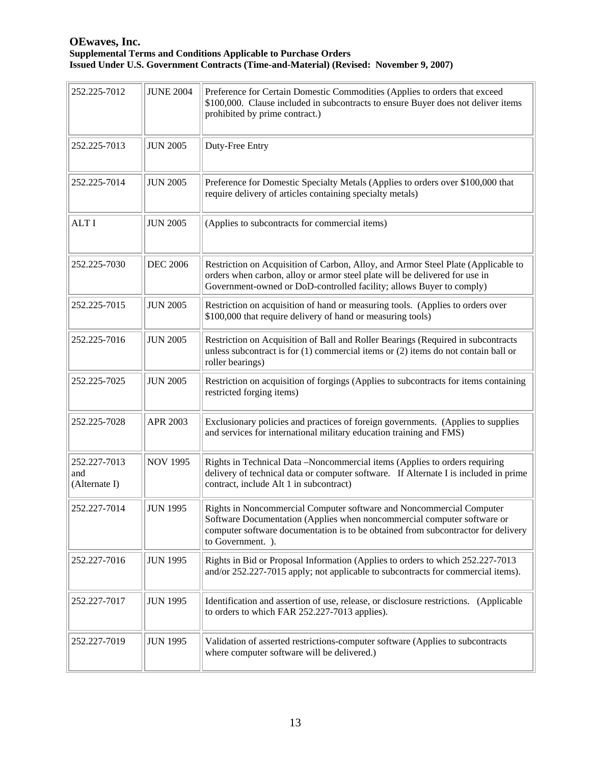| 252.225-7012                         | <b>JUNE 2004</b> | Preference for Certain Domestic Commodities (Applies to orders that exceed<br>\$100,000. Clause included in subcontracts to ensure Buyer does not deliver items<br>prohibited by prime contract.)                                                         |
|--------------------------------------|------------------|-----------------------------------------------------------------------------------------------------------------------------------------------------------------------------------------------------------------------------------------------------------|
| 252.225-7013                         | <b>JUN 2005</b>  | Duty-Free Entry                                                                                                                                                                                                                                           |
| 252.225-7014                         | <b>JUN 2005</b>  | Preference for Domestic Specialty Metals (Applies to orders over \$100,000 that<br>require delivery of articles containing specialty metals)                                                                                                              |
| <b>ALTI</b>                          | <b>JUN 2005</b>  | (Applies to subcontracts for commercial items)                                                                                                                                                                                                            |
| 252.225-7030                         | <b>DEC 2006</b>  | Restriction on Acquisition of Carbon, Alloy, and Armor Steel Plate (Applicable to<br>orders when carbon, alloy or armor steel plate will be delivered for use in<br>Government-owned or DoD-controlled facility; allows Buyer to comply)                  |
| 252.225-7015                         | <b>JUN 2005</b>  | Restriction on acquisition of hand or measuring tools. (Applies to orders over<br>\$100,000 that require delivery of hand or measuring tools)                                                                                                             |
| 252.225-7016                         | <b>JUN 2005</b>  | Restriction on Acquisition of Ball and Roller Bearings (Required in subcontracts<br>unless subcontract is for $(1)$ commercial items or $(2)$ items do not contain ball or<br>roller bearings)                                                            |
| 252.225-7025                         | <b>JUN 2005</b>  | Restriction on acquisition of forgings (Applies to subcontracts for items containing<br>restricted forging items)                                                                                                                                         |
| 252.225-7028                         | APR 2003         | Exclusionary policies and practices of foreign governments. (Applies to supplies<br>and services for international military education training and FMS)                                                                                                   |
| 252.227-7013<br>and<br>(Alternate I) | <b>NOV 1995</b>  | Rights in Technical Data -Noncommercial items (Applies to orders requiring<br>delivery of technical data or computer software. If Alternate I is included in prime<br>contract, include Alt 1 in subcontract)                                             |
| 252.227-7014                         | <b>JUN 1995</b>  | Rights in Noncommercial Computer software and Noncommercial Computer<br>Software Documentation (Applies when noncommercial computer software or<br>computer software documentation is to be obtained from subcontractor for delivery<br>to Government. ). |
| 252.227-7016                         | <b>JUN 1995</b>  | Rights in Bid or Proposal Information (Applies to orders to which 252.227-7013<br>and/or 252.227-7015 apply; not applicable to subcontracts for commercial items).                                                                                        |
| 252.227-7017                         | <b>JUN 1995</b>  | Identification and assertion of use, release, or disclosure restrictions. (Applicable<br>to orders to which FAR 252.227-7013 applies).                                                                                                                    |
| 252.227-7019                         | <b>JUN 1995</b>  | Validation of asserted restrictions-computer software (Applies to subcontracts<br>where computer software will be delivered.)                                                                                                                             |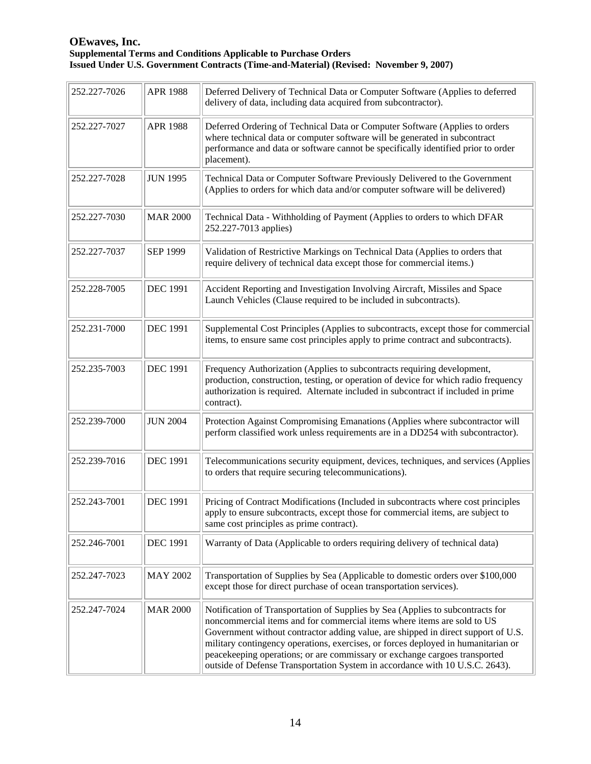| 252.227-7026 | <b>APR 1988</b> | Deferred Delivery of Technical Data or Computer Software (Applies to deferred<br>delivery of data, including data acquired from subcontractor).                                                                                                                                                                                                                                                                                                                                                   |
|--------------|-----------------|---------------------------------------------------------------------------------------------------------------------------------------------------------------------------------------------------------------------------------------------------------------------------------------------------------------------------------------------------------------------------------------------------------------------------------------------------------------------------------------------------|
| 252.227-7027 | <b>APR 1988</b> | Deferred Ordering of Technical Data or Computer Software (Applies to orders<br>where technical data or computer software will be generated in subcontract<br>performance and data or software cannot be specifically identified prior to order<br>placement).                                                                                                                                                                                                                                     |
| 252.227-7028 | <b>JUN 1995</b> | Technical Data or Computer Software Previously Delivered to the Government<br>(Applies to orders for which data and/or computer software will be delivered)                                                                                                                                                                                                                                                                                                                                       |
| 252.227-7030 | <b>MAR 2000</b> | Technical Data - Withholding of Payment (Applies to orders to which DFAR<br>252.227-7013 applies)                                                                                                                                                                                                                                                                                                                                                                                                 |
| 252.227-7037 | <b>SEP 1999</b> | Validation of Restrictive Markings on Technical Data (Applies to orders that<br>require delivery of technical data except those for commercial items.)                                                                                                                                                                                                                                                                                                                                            |
| 252.228-7005 | <b>DEC 1991</b> | Accident Reporting and Investigation Involving Aircraft, Missiles and Space<br>Launch Vehicles (Clause required to be included in subcontracts).                                                                                                                                                                                                                                                                                                                                                  |
| 252.231-7000 | <b>DEC 1991</b> | Supplemental Cost Principles (Applies to subcontracts, except those for commercial<br>items, to ensure same cost principles apply to prime contract and subcontracts).                                                                                                                                                                                                                                                                                                                            |
| 252.235-7003 | <b>DEC 1991</b> | Frequency Authorization (Applies to subcontracts requiring development,<br>production, construction, testing, or operation of device for which radio frequency<br>authorization is required. Alternate included in subcontract if included in prime<br>contract).                                                                                                                                                                                                                                 |
| 252.239-7000 | <b>JUN 2004</b> | Protection Against Compromising Emanations (Applies where subcontractor will<br>perform classified work unless requirements are in a DD254 with subcontractor).                                                                                                                                                                                                                                                                                                                                   |
| 252.239-7016 | <b>DEC 1991</b> | Telecommunications security equipment, devices, techniques, and services (Applies<br>to orders that require securing telecommunications).                                                                                                                                                                                                                                                                                                                                                         |
| 252.243-7001 | <b>DEC 1991</b> | Pricing of Contract Modifications (Included in subcontracts where cost principles<br>apply to ensure subcontracts, except those for commercial items, are subject to<br>same cost principles as prime contract).                                                                                                                                                                                                                                                                                  |
| 252.246-7001 | <b>DEC 1991</b> | Warranty of Data (Applicable to orders requiring delivery of technical data)                                                                                                                                                                                                                                                                                                                                                                                                                      |
| 252.247-7023 | <b>MAY 2002</b> | Transportation of Supplies by Sea (Applicable to domestic orders over \$100,000<br>except those for direct purchase of ocean transportation services).                                                                                                                                                                                                                                                                                                                                            |
| 252.247-7024 | <b>MAR 2000</b> | Notification of Transportation of Supplies by Sea (Applies to subcontracts for<br>noncommercial items and for commercial items where items are sold to US<br>Government without contractor adding value, are shipped in direct support of U.S.<br>military contingency operations, exercises, or forces deployed in humanitarian or<br>peacekeeping operations; or are commissary or exchange cargoes transported<br>outside of Defense Transportation System in accordance with 10 U.S.C. 2643). |